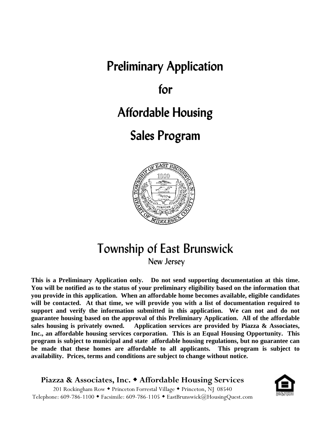# Preliminary Application

### for

# Affordable Housing

## Sales Program



# Township of East Brunswick

New Jersey

**This is a Preliminary Application only. Do not send supporting documentation at this time. You will be notified as to the status of your preliminary eligibility based on the information that you provide in this application. When an affordable home becomes available, eligible candidates will be contacted. At that time, we will provide you with a list of documentation required to support and verify the information submitted in this application. We can not and do not guarantee housing based on the approval of this Preliminary Application. All of the affordable sales housing is privately owned. Application services are provided by Piazza & Associates, Inc., an affordable housing services corporation. This is an Equal Housing Opportunity. This program is subject to municipal and state affordable housing regulations, but no guarantee can be made that these homes are affordable to all applicants. This program is subject to availability. Prices, terms and conditions are subject to change without notice.**

#### **Piazza & Associates, Inc. Affordable Housing Services**

201 Rockingham Row • Princeton Forrestal Village • Princeton, NJ 08540 Telephone: 609-786-1100 Facsimile: 609-786-1105 EastBrunswick@HousingQuest.com

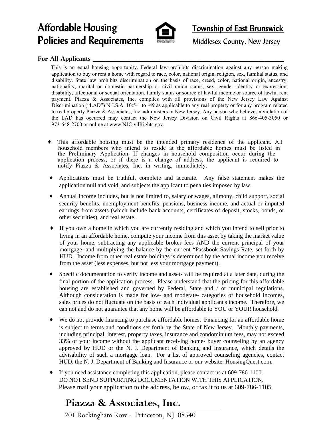### Affordable Housing **The Community Communist** Affordable Housing Policies and Requirements Middlesex County, New Jersey



#### **For All Applicants \_\_\_\_\_\_\_\_\_\_\_\_\_\_\_\_\_\_\_\_\_\_\_\_\_\_\_\_\_\_\_\_\_\_\_\_\_\_\_\_\_\_\_\_\_\_\_\_\_\_\_\_\_\_\_\_\_\_\_**

This is an equal housing opportunity. Federal law prohibits discrimination against any person making application to buy or rent a home with regard to race, color, national origin, religion, sex, familial status, and disability. State law prohibits discrimination on the basis of race, creed, color, national origin, ancestry, nationality, marital or domestic partnership or civil union status, sex, gender identity or expression, disability, affectional or sexual orientation, family status or source of lawful income or source of lawful rent payment. Piazza & Associates, Inc. complies with all provisions of the New Jersey Law Against Discrimination ("LAD") N.J.S.A. 10:5-1 to -49 as applicable to any real property or for any program related to real property Piazza & Associates, Inc. administers in New Jersey. Any person who believes a violation of the LAD has occurred may contact the New Jersey Division on Civil Rights at 866-405-3050 or 973-648-2700 or online at www.NJCivilRights.gov.

- { This affordable housing must be the intended primary residence of the applicant. All household members who intend to reside at the affordable homes must be listed in the Preliminary Application. If changes in household composition occur during the application process, or if there is a change of address, the applicant is required to notify Piazza & Associates, Inc. in writing, immediately.
- { Applications must be truthful, complete and accurate. Any false statement makes the application null and void, and subjects the applicant to penalties imposed by law.
- { Annual Income includes, but is not limited to, salary or wages, alimony, child support, social security benefits, unemployment benefits, pensions, business income, and actual or imputed earnings from assets (which include bank accounts, certificates of deposit, stocks, bonds, or other securities), and real estate.
- { If you own a home in which you are currently residing and which you intend to sell prior to living in an affordable home, compute your income from this asset by taking the market value of your home, subtracting any applicable broker fees AND the current principal of your mortgage, and multiplying the balance by the current "Passbook Savings Rate, set forth by HUD. Income from other real estate holdings is determined by the actual income you receive from the asset (less expenses, but not less your mortgage payment).
- { Specific documentation to verify income and assets will be required at a later date, during the final portion of the application process. Please understand that the pricing for this affordable housing are established and governed by Federal, State and / or municipal regulations. Although consideration is made for low- and moderate- categories of household incomes, sales prices do not fluctuate on the basis of each individual applicant's income. Therefore, we can not and do not guarantee that any home will be affordable to YOU or YOUR household.
- { We do not provide financing to purchase affordable homes. Financing for an affordable home is subject to terms and conditions set forth by the State of New Jersey. Monthly payments, including principal, interest, property taxes, insurance and condominium fees, may not exceed 33% of your income without the applicant receiving home- buyer counseling by an agency approved by HUD or the N. J. Department of Banking and Insurance, which details the advisability of such a mortgage loan. For a list of approved counseling agencies, contact HUD, the N. J. Department of Banking and Insurance or our website: HousingQuest.com.
- $\blacklozenge$  If you need assistance completing this application, please contact us at 609-786-1100. DO NOT SEND SUPPORTING DOCUMENTATION WITH THIS APPLICATION. Please mail your application to the address, below, or fax it to us at 609-786-1105.

### **Piazza & Associates, Inc.**

201 Rockingham Row - Princeton, NJ 08540